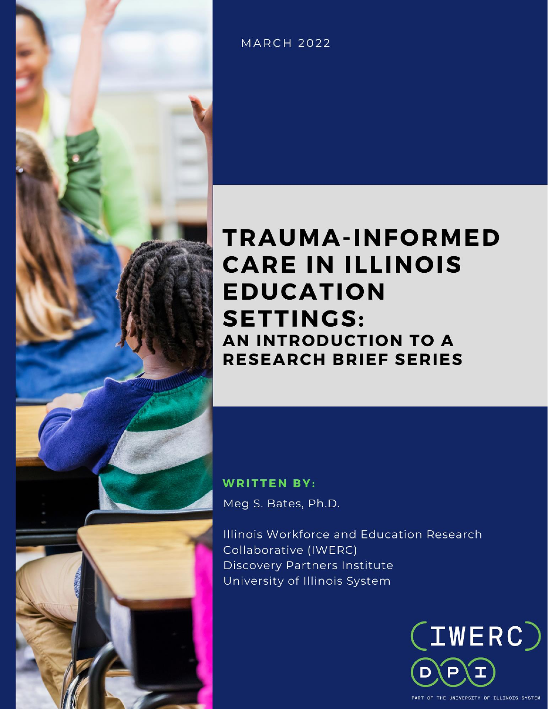

**MARCH 2022** 

# **TRAUMA-INFORMED CARE IN ILLINOIS EDUCATION SETTINGS:** AN INTRODUCTION TO A **RESEARCH BRIEF SERIES**

# **WRITTEN BY:** Meg S. Bates, Ph.D.

Illinois Workforce and Education Research Collaborative (IWERC) **Discovery Partners Institute** University of Illinois System



PART OF THE UNIVERSITY OF ILLINOIS SYSTEM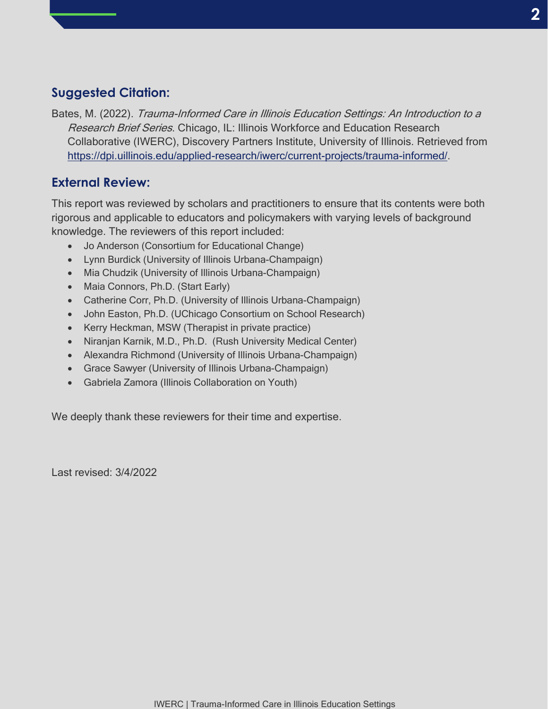## **Suggested Citation:**

Bates, M. (2022). Trauma-Informed Care in Illinois Education Settings: An Introduction to a Research Brief Series. Chicago, IL: Illinois Workforce and Education Research Collaborative (IWERC), Discovery Partners Institute, University of Illinois. Retrieved from [https://dpi.uillinois.edu/applied-research/iwerc/current-projects/trauma-informed/.](https://dpi.uillinois.edu/applied-research/iwerc/current-projects/trauma-informed/)

### **External Review:**

This report was reviewed by scholars and practitioners to ensure that its contents were both rigorous and applicable to educators and policymakers with varying levels of background knowledge. The reviewers of this report included:

- Jo Anderson (Consortium for Educational Change)
- Lynn Burdick (University of Illinois Urbana-Champaign)
- Mia Chudzik (University of Illinois Urbana-Champaign)
- Maia Connors, Ph.D. (Start Early)
- Catherine Corr, Ph.D. (University of Illinois Urbana-Champaign)
- John Easton, Ph.D. (UChicago Consortium on School Research)
- Kerry Heckman, MSW (Therapist in private practice)
- Niranjan Karnik, M.D., Ph.D. (Rush University Medical Center)
- Alexandra Richmond (University of Illinois Urbana-Champaign)
- Grace Sawyer (University of Illinois Urbana-Champaign)
- Gabriela Zamora (Illinois Collaboration on Youth)

We deeply thank these reviewers for their time and expertise.

Last revised: 3/4/2022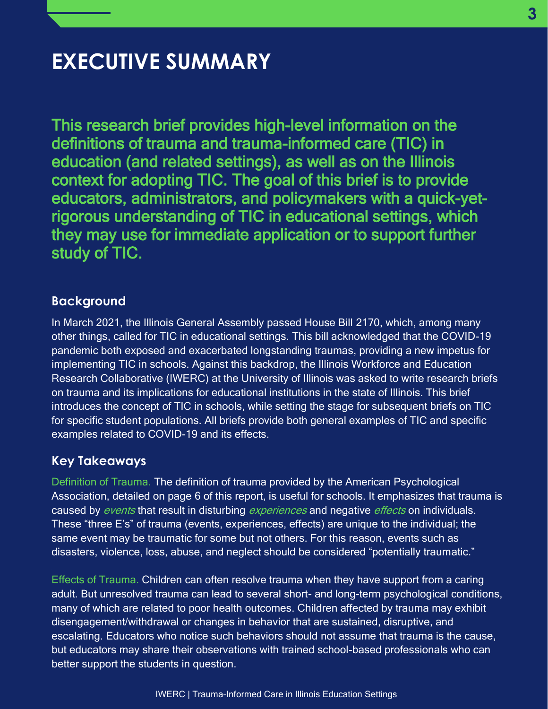# **EXECUTIVE SUMMARY**

This research brief provides high-level information on the definitions of trauma and trauma-informed care (TIC) in education (and related settings), as well as on the Illinois context for adopting TIC. The goal of this brief is to provide educators, administrators, and policymakers with a quick-yetrigorous understanding of TIC in educational settings, which they may use for immediate application or to support further study of TIC.

### **Background**

In March 2021, the Illinois General Assembly passed House Bill 2170, which, among many other things, called for TIC in educational settings. This bill acknowledged that the COVID-19 pandemic both exposed and exacerbated longstanding traumas, providing a new impetus for implementing TIC in schools. Against this backdrop, the Illinois Workforce and Education Research Collaborative (IWERC) at the University of Illinois was asked to write research briefs on trauma and its implications for educational institutions in the state of Illinois. This brief introduces the concept of TIC in schools, while setting the stage for subsequent briefs on TIC for specific student populations. All briefs provide both general examples of TIC and specific examples related to COVID-19 and its effects.

### **Key Takeaways**

Definition of Trauma. The definition of trauma provided by the American Psychological Association, detailed on page 6 of this report, is useful for schools. It emphasizes that trauma is caused by *events* that result in disturbing *experiences* and negative *effects* on individuals. These "three E's" of trauma (events, experiences, effects) are unique to the individual; the same event may be traumatic for some but not others. For this reason, events such as disasters, violence, loss, abuse, and neglect should be considered "potentially traumatic."

Effects of Trauma. Children can often resolve trauma when they have support from a caring adult. But unresolved trauma can lead to several short- and long-term psychological conditions, many of which are related to poor health outcomes. Children affected by trauma may exhibit disengagement/withdrawal or changes in behavior that are sustained, disruptive, and escalating. Educators who notice such behaviors should not assume that trauma is the cause, but educators may share their observations with trained school-based professionals who can better support the students in question.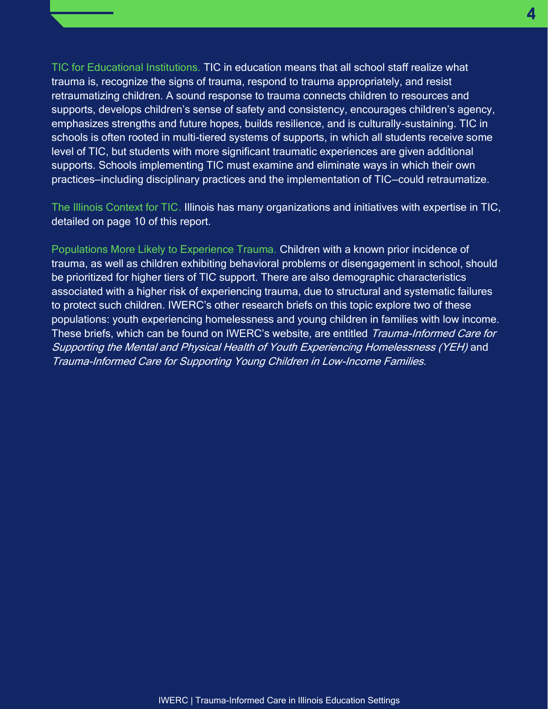TIC for Educational Institutions. TIC in education means that all school staff realize what trauma is, recognize the signs of trauma, respond to trauma appropriately, and resist retraumatizing children. A sound response to trauma connects children to resources and supports, develops children's sense of safety and consistency, encourages children's agency, emphasizes strengths and future hopes, builds resilience, and is culturally-sustaining. TIC in schools is often rooted in multi-tiered systems of supports, in which all students receive some level of TIC, but students with more significant traumatic experiences are given additional supports. Schools implementing TIC must examine and eliminate ways in which their own practices—including disciplinary practices and the implementation of TIC—could retraumatize.

The Illinois Context for TIC. Illinois has many organizations and initiatives with expertise in TIC, detailed on page 10 of this report.

Populations More Likely to Experience Trauma. Children with a known prior incidence of trauma, as well as children exhibiting behavioral problems or disengagement in school, should be prioritized for higher tiers of TIC support. There are also demographic characteristics associated with a higher risk of experiencing trauma, due to structural and systematic failures to protect such children. IWERC's other research briefs on this topic explore two of these populations: youth experiencing homelessness and young children in families with low income. These briefs, which can be found on IWERC's website, are entitled Trauma-Informed Care for Supporting the Mental and Physical Health of Youth Experiencing Homelessness (YEH) and Trauma-Informed Care for Supporting Young Children in Low-Income Families.

**4 4**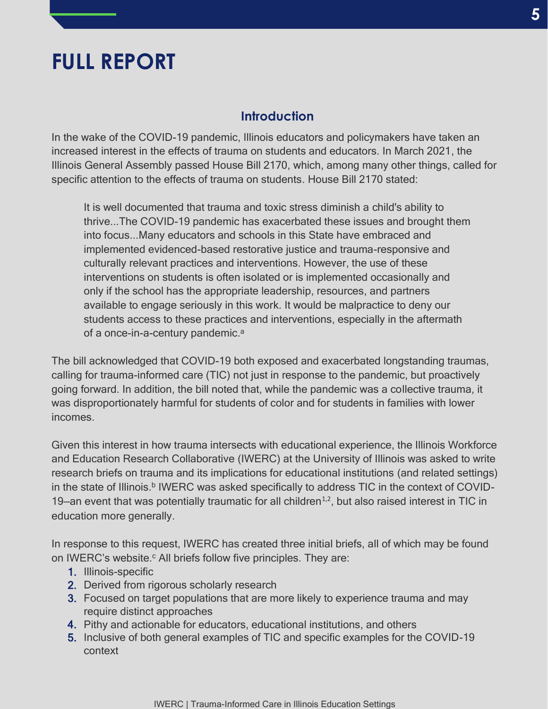# **FULL REPORT**

#### **Introduction**

In the wake of the COVID-19 pandemic, Illinois educators and policymakers have taken an increased interest in the effects of trauma on students and educators. In March 2021, the Illinois General Assembly passed House Bill 2170, which, among many other things, called for specific attention to the effects of trauma on students. House Bill 2170 stated:

It is well documented that trauma and toxic stress diminish a child's ability to thrive...The COVID-19 pandemic has exacerbated these issues and brought them into focus...Many educators and schools in this State have embraced and implemented evidenced-based restorative justice and trauma-responsive and culturally relevant practices and interventions. However, the use of these interventions on students is often isolated or is implemented occasionally and only if the school has the appropriate leadership, resources, and partners available to engage seriously in this work. It would be malpractice to deny our students access to these practices and interventions, especially in the aftermath of a once-in-a-century pandemic.<sup>a</sup>

The bill acknowledged that COVID-19 both exposed and exacerbated longstanding traumas, calling for trauma-informed care (TIC) not just in response to the pandemic, but proactively going forward. In addition, the bill noted that, while the pandemic was a collective trauma, it was disproportionately harmful for students of color and for students in families with lower incomes.

Given this interest in how trauma intersects with educational experience, the Illinois Workforce and Education Research Collaborative (IWERC) at the University of Illinois was asked to write research briefs on trauma and its implications for educational institutions (and related settings) in the state of Illinois.<sup>b</sup> IWERC was asked specifically to address TIC in the context of COVID-19—an event that was potentially traumatic for all children<sup> $1,2$ </sup>, but also raised interest in TIC in education more generally.

In response to this request, IWERC has created three initial briefs, all of which may be found on IWERC's website. $c$  All briefs follow five principles. They are:

- 1. Illinois-specific
- 2. Derived from rigorous scholarly research
- 3. Focused on target populations that are more likely to experience trauma and may require distinct approaches
- 4. Pithy and actionable for educators, educational institutions, and others
- 5. Inclusive of both general examples of TIC and specific examples for the COVID-19 context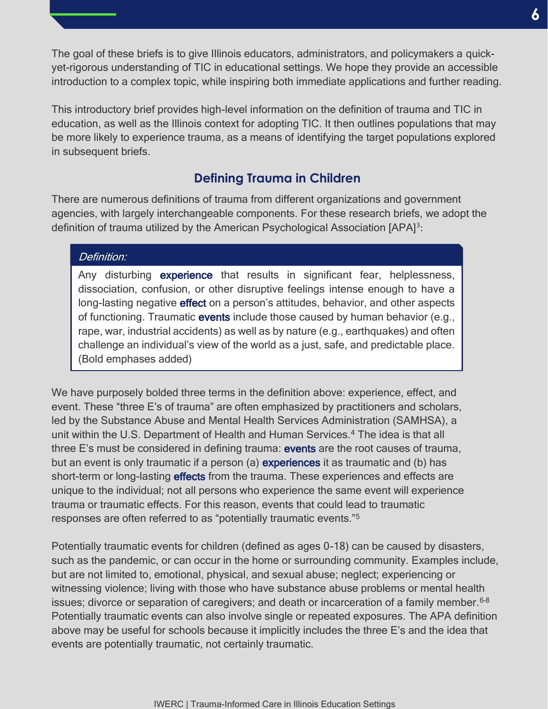The goal of these briefs is to give Illinois educators, administrators, and policymakers a quickyet-rigorous understanding of TIC in educational settings. We hope they provide an accessible introduction to a complex topic, while inspiring both immediate applications and further reading.

This introductory brief provides high-level information on the definition of trauma and TIC in education, as well as the Illinois context for adopting TIC. It then outlines populations that may be more likely to experience trauma, as a means of identifying the target populations explored in subsequent briefs.

# **Defining Trauma in Children**

There are numerous definitions of trauma from different organizations and government agencies, with largely interchangeable components. For these research briefs, we adopt the definition of trauma utilized by the American Psychological Association [APA]<sup>3</sup>:

#### Definition:

Any disturbing experience that results in significant fear, helplessness, dissociation, confusion, or other disruptive feelings intense enough to have a long-lasting negative **effect** on a person's attitudes, behavior, and other aspects of functioning. Traumatic events include those caused by human behavior (e.g., rape, war, industrial accidents) as well as by nature (e.g., earthquakes) and often challenge an individual's view of the world as a just, safe, and predictable place. (Bold emphases added)

We have purposely bolded three terms in the definition above: experience, effect, and event. These "three E's of trauma" are often emphasized by practitioners and scholars, led by the Substance Abuse and Mental Health Services Administration (SAMHSA), a unit within the U.S. Department of Health and Human Services.<sup>4</sup> The idea is that all three E's must be considered in defining trauma: events are the root causes of trauma, but an event is only traumatic if a person (a) **experiences** it as traumatic and (b) has short-term or long-lasting effects from the trauma. These experiences and effects are unique to the individual; not all persons who experience the same event will experience trauma or traumatic effects. For this reason, events that could lead to traumatic responses are often referred to as "potentially traumatic events."<sup>5</sup>

Potentially traumatic events for children (defined as ages 0-18) can be caused by disasters, such as the pandemic, or can occur in the home or surrounding community. Examples include, but are not limited to, emotional, physical, and sexual abuse; neglect; experiencing or witnessing violence; living with those who have substance abuse problems or mental health issues; divorce or separation of caregivers; and death or incarceration of a family member.  $6-8$ Potentially traumatic events can also involve single or repeated exposures. The APA definition above may be useful for schools because it implicitly includes the three E's and the idea that events are potentially traumatic, not certainly traumatic.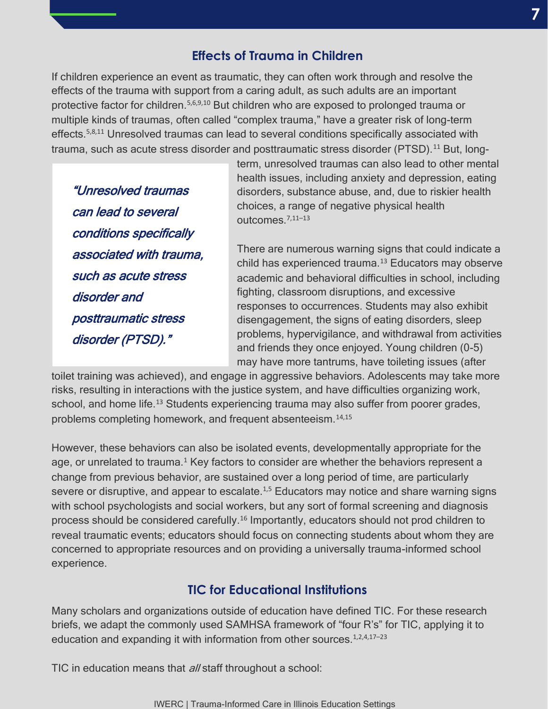# **Effects of Trauma in Children**

If children experience an event as traumatic, they can often work through and resolve the effects of the trauma with support from a caring adult, as such adults are an important protective factor for children.<sup>5,6,9,10</sup> But children who are exposed to prolonged trauma or multiple kinds of traumas, often called "complex trauma," have a greater risk of long-term effects.5,8,11 Unresolved traumas can lead to several conditions specifically associated with trauma, such as acute stress disorder and posttraumatic stress disorder (PTSD).<sup>11</sup> But, long-

"Unresolved traumas can lead to several conditions specifically associated with trauma, such as acute stress disorder and posttraumatic stress disorder (PTSD)."

term, unresolved traumas can also lead to other mental health issues, including anxiety and depression, eating disorders, substance abuse, and, due to riskier health choices, a range of negative physical health outcomes.7,11–<sup>13</sup>

There are numerous warning signs that could indicate a child has experienced trauma. $13$  Educators may observe academic and behavioral difficulties in school, including fighting, classroom disruptions, and excessive responses to occurrences. Students may also exhibit disengagement, the signs of eating disorders, sleep problems, hypervigilance, and withdrawal from activities and friends they once enjoyed. Young children (0-5) may have more tantrums, have toileting issues (after

toilet training was achieved), and engage in aggressive behaviors. Adolescents may take more risks, resulting in interactions with the justice system, and have difficulties organizing work, school, and home life.<sup>13</sup> Students experiencing trauma may also suffer from poorer grades, problems completing homework, and frequent absenteeism.14,15

However, these behaviors can also be isolated events, developmentally appropriate for the age, or unrelated to trauma.<sup>1</sup> Key factors to consider are whether the behaviors represent a change from previous behavior, are sustained over a long period of time, are particularly severe or disruptive, and appear to escalate.<sup>1,5</sup> Educators may notice and share warning signs with school psychologists and social workers, but any sort of formal screening and diagnosis process should be considered carefully.<sup>16</sup> Importantly, educators should not prod children to reveal traumatic events; educators should focus on connecting students about whom they are concerned to appropriate resources and on providing a universally trauma-informed school experience.

## **TIC for Educational Institutions**

Many scholars and organizations outside of education have defined TIC. For these research briefs, we adapt the commonly used SAMHSA framework of "four R's" for TIC, applying it to education and expanding it with information from other sources.<sup>1,2,4,17-23</sup>

TIC in education means that *all* staff throughout a school: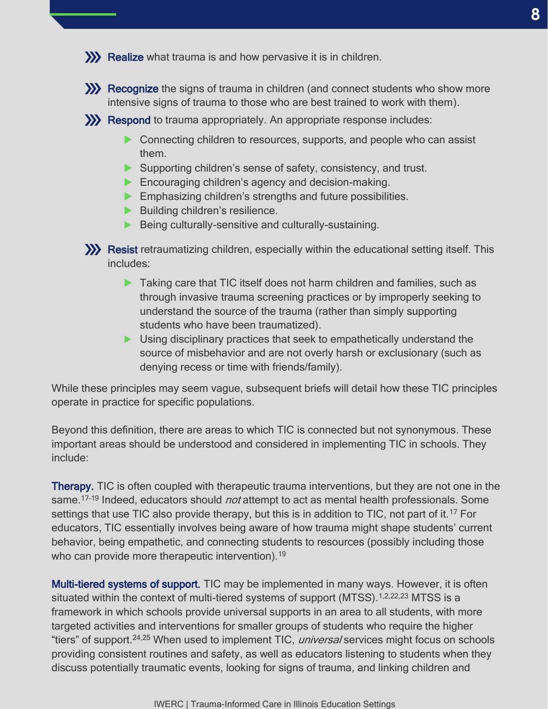Recognize the signs of trauma in children (and connect students who show more intensive signs of trauma to those who are best trained to work with them).

**XX** Respond to trauma appropriately. An appropriate response includes:

- ▶ Connecting children to resources, supports, and people who can assist them.
- ▶ Supporting children's sense of safety, consistency, and trust.
- ▶ Encouraging children's agency and decision-making.
- **Emphasizing children's strengths and future possibilities.**
- ▶ Building children's resilience.
- ▶ Being culturally-sensitive and culturally-sustaining.
- **XX** Resist retraumatizing children, especially within the educational setting itself. This includes:
	- ▶ Taking care that TIC itself does not harm children and families, such as through invasive trauma screening practices or by improperly seeking to understand the source of the trauma (rather than simply supporting students who have been traumatized).
	- ▶ Using disciplinary practices that seek to empathetically understand the source of misbehavior and are not overly harsh or exclusionary (such as denying recess or time with friends/family).

While these principles may seem vague, subsequent briefs will detail how these TIC principles operate in practice for specific populations.

Beyond this definition, there are areas to which TIC is connected but not synonymous. These important areas should be understood and considered in implementing TIC in schools. They include:

**Therapy.** TIC is often coupled with therapeutic trauma interventions, but they are not one in the same.<sup>17-19</sup> Indeed, educators should *not* attempt to act as mental health professionals. Some settings that use TIC also provide therapy, but this is in addition to TIC, not part of it.<sup>17</sup> For educators, TIC essentially involves being aware of how trauma might shape students' current behavior, being empathetic, and connecting students to resources (possibly including those who can provide more therapeutic intervention).<sup>19</sup>

Multi-tiered systems of support. TIC may be implemented in many ways. However, it is often situated within the context of multi-tiered systems of support (MTSS).<sup>1,2,22,23</sup> MTSS is a framework in which schools provide universal supports in an area to all students, with more targeted activities and interventions for smaller groups of students who require the higher "tiers" of support.<sup>24,25</sup> When used to implement TIC, *universal* services might focus on schools providing consistent routines and safety, as well as educators listening to students when they discuss potentially traumatic events, looking for signs of trauma, and linking children and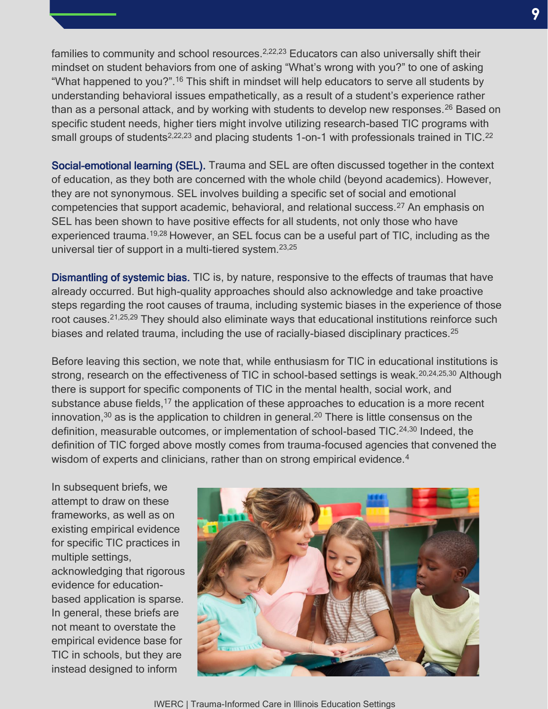families to community and school resources.<sup>2,22,23</sup> Educators can also universally shift their mindset on student behaviors from one of asking "What's wrong with you?" to one of asking "What happened to you?".<sup>16</sup> This shift in mindset will help educators to serve all students by understanding behavioral issues empathetically, as a result of a student's experience rather than as a personal attack, and by working with students to develop new responses.<sup>26</sup> Based on specific student needs, higher tiers might involve utilizing research-based TIC programs with small groups of students<sup>2,22,23</sup> and placing students 1-on-1 with professionals trained in TIC.<sup>22</sup>

Social-emotional learning (SEL). Trauma and SEL are often discussed together in the context of education, as they both are concerned with the whole child (beyond academics). However, they are not synonymous. SEL involves building a specific set of social and emotional competencies that support academic, behavioral, and relational success.<sup>27</sup> An emphasis on SEL has been shown to have positive effects for all students, not only those who have experienced trauma.19,28 However, an SEL focus can be a useful part of TIC, including as the universal tier of support in a multi-tiered system.23,25

Dismantling of systemic bias. TIC is, by nature, responsive to the effects of traumas that have already occurred. But high-quality approaches should also acknowledge and take proactive steps regarding the root causes of trauma, including systemic biases in the experience of those root causes.<sup>21,25,29</sup> They should also eliminate ways that educational institutions reinforce such biases and related trauma, including the use of racially-biased disciplinary practices.<sup>25</sup>

Before leaving this section, we note that, while enthusiasm for TIC in educational institutions is strong, research on the effectiveness of TIC in school-based settings is weak.<sup>20,24,25,30</sup> Although there is support for specific components of TIC in the mental health, social work, and substance abuse fields,<sup>17</sup> the application of these approaches to education is a more recent innovation,<sup>30</sup> as is the application to children in general.<sup>20</sup> There is little consensus on the definition, measurable outcomes, or implementation of school-based TIC.<sup>24,30</sup> Indeed, the definition of TIC forged above mostly comes from trauma-focused agencies that convened the wisdom of experts and clinicians, rather than on strong empirical evidence.<sup>4</sup>

In subsequent briefs, we attempt to draw on these frameworks, as well as on existing empirical evidence for specific TIC practices in multiple settings, acknowledging that rigorous evidence for educationbased application is sparse. In general, these briefs are not meant to overstate the empirical evidence base for TIC in schools, but they are instead designed to inform

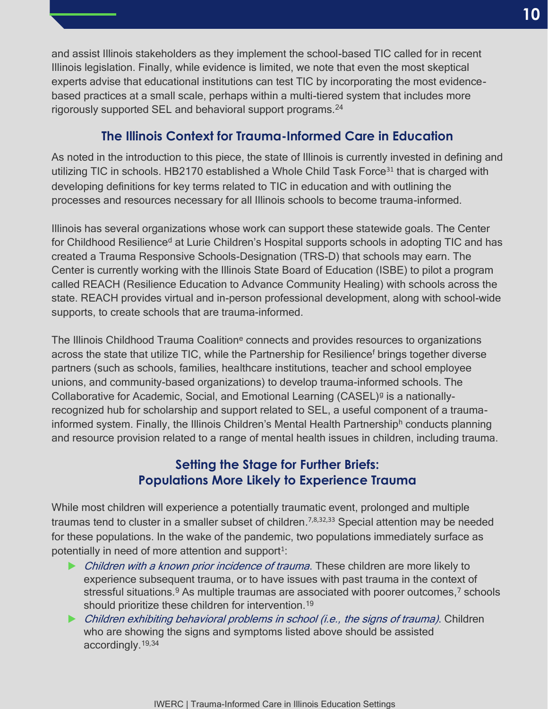and assist Illinois stakeholders as they implement the school-based TIC called for in recent Illinois legislation. Finally, while evidence is limited, we note that even the most skeptical experts advise that educational institutions can test TIC by incorporating the most evidencebased practices at a small scale, perhaps within a multi-tiered system that includes more rigorously supported SEL and behavioral support programs.<sup>24</sup>

# **The Illinois Context for Trauma-Informed Care in Education**

As noted in the introduction to this piece, the state of Illinois is currently invested in defining and utilizing TIC in schools. HB2170 established a Whole Child Task Force<sup>31</sup> that is charged with developing definitions for key terms related to TIC in education and with outlining the processes and resources necessary for all Illinois schools to become trauma-informed.

Illinois has several organizations whose work can support these statewide goals. The Center for Childhood Resilience<sup>d</sup> at Lurie Children's Hospital supports schools in adopting TIC and has created a Trauma Responsive Schools-Designation (TRS-D) that schools may earn. The Center is currently working with the Illinois State Board of Education (ISBE) to pilot a program called REACH (Resilience Education to Advance Community Healing) with schools across the state. REACH provides virtual and in-person professional development, along with school-wide supports, to create schools that are trauma-informed.

The Illinois Childhood Trauma Coalition<sup>e</sup> connects and provides resources to organizations across the state that utilize TIC, while the Partnership for Resilience<sup>f</sup> brings together diverse partners (such as schools, families, healthcare institutions, teacher and school employee unions, and community-based organizations) to develop trauma-informed schools. The Collaborative for Academic, Social, and Emotional Learning (CASEL)<sup>g</sup> is a nationallyrecognized hub for scholarship and support related to SEL, a useful component of a traumainformed system. Finally, the Illinois Children's Mental Health Partnershiph conducts planning and resource provision related to a range of mental health issues in children, including trauma.

# **Setting the Stage for Further Briefs: Populations More Likely to Experience Trauma**

While most children will experience a potentially traumatic event, prolonged and multiple traumas tend to cluster in a smaller subset of children.<sup>7,8,32,33</sup> Special attention may be needed for these populations. In the wake of the pandemic, two populations immediately surface as potentially in need of more attention and support<sup>1</sup>:

- ▶ Children with a known prior incidence of trauma. These children are more likely to experience subsequent trauma, or to have issues with past trauma in the context of stressful situations.  $9$  As multiple traumas are associated with poorer outcomes,  $7$  schools should prioritize these children for intervention.<sup>19</sup>
- ▶ Children exhibiting behavioral problems in school (i.e., the signs of trauma). Children who are showing the signs and symptoms listed above should be assisted accordingly.19,34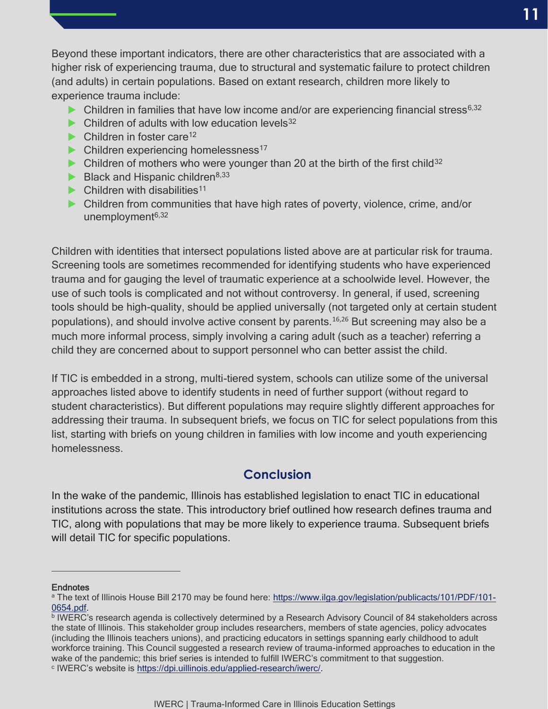Beyond these important indicators, there are other characteristics that are associated with a higher risk of experiencing trauma, due to structural and systematic failure to protect children (and adults) in certain populations. Based on extant research, children more likely to experience trauma include:

- $\triangleright$  Children in families that have low income and/or are experiencing financial stress<sup>6,32</sup>
- $\blacktriangleright$  Children of adults with low education levels<sup>32</sup>
- $\blacktriangleright$  Children in foster care<sup>12</sup>
- $\triangleright$  Children experiencing homelessness<sup>17</sup>
- $\triangleright$  Children of mothers who were younger than 20 at the birth of the first child<sup>32</sup>
- $\blacktriangleright$  Black and Hispanic children<sup>8,33</sup>
- $\blacktriangleright$  Children with disabilities<sup>11</sup>
- ▶ Children from communities that have high rates of poverty, violence, crime, and/or unemployment $6,32$

Children with identities that intersect populations listed above are at particular risk for trauma. Screening tools are sometimes recommended for identifying students who have experienced trauma and for gauging the level of traumatic experience at a schoolwide level. However, the use of such tools is complicated and not without controversy. In general, if used, screening tools should be high-quality, should be applied universally (not targeted only at certain student populations), and should involve active consent by parents.<sup>16,26</sup> But screening may also be a much more informal process, simply involving a caring adult (such as a teacher) referring a child they are concerned about to support personnel who can better assist the child.

If TIC is embedded in a strong, multi-tiered system, schools can utilize some of the universal approaches listed above to identify students in need of further support (without regard to student characteristics). But different populations may require slightly different approaches for addressing their trauma. In subsequent briefs, we focus on TIC for select populations from this list, starting with briefs on young children in families with low income and youth experiencing homelessness.

### **Conclusion**

In the wake of the pandemic, Illinois has established legislation to enact TIC in educational institutions across the state. This introductory brief outlined how research defines trauma and TIC, along with populations that may be more likely to experience trauma. Subsequent briefs will detail TIC for specific populations.

#### **Endnotes**

a The text of Illinois House Bill 2170 may be found here: [https://www.ilga.gov/legislation/publicacts/101/PDF/101-](https://www.ilga.gov/legislation/publicacts/101/PDF/101-0654.pdf) [0654.pdf.](https://www.ilga.gov/legislation/publicacts/101/PDF/101-0654.pdf)

**IWERC's research agenda is collectively determined by a Research Advisory Council of 84 stakeholders across** the state of Illinois. This stakeholder group includes researchers, members of state agencies, policy advocates (including the Illinois teachers unions), and practicing educators in settings spanning early childhood to adult workforce training. This Council suggested a research review of trauma-informed approaches to education in the wake of the pandemic; this brief series is intended to fulfill IWERC's commitment to that suggestion. c IWERC's website is [https://dpi.uillinois.edu/applied-research/iwerc/.](https://dpi.uillinois.edu/applied-research/iwerc/)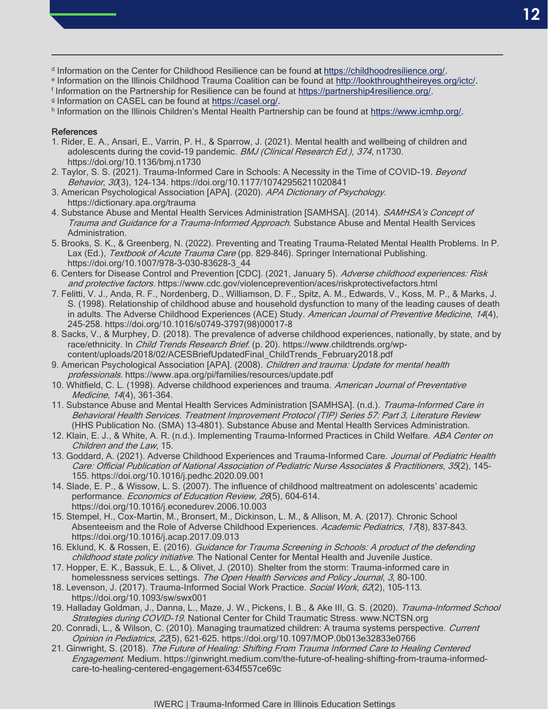- <sup>d</sup> Information on the Center for Childhood Resilience can be found at [https://childhoodresilience.org/.](https://childhoodresilience.org/)
- <sup>e</sup> Information on the Illinois Childhood Trauma Coalition can be found at [http://lookthroughtheireyes.org/ictc/.](http://lookthroughtheireyes.org/ictc/)
- <sup>f</sup> Information on the Partnership for Resilience can be found at [https://partnership4resilience.org/.](https://partnership4resilience.org/) g Information on CASEL can be found at [https://casel.org/.](https://casel.org/)
- h Information on the Illinois Children's Mental Health Partnership can be found at [https://www.icmhp.org/.](https://www.icmhp.org/)

#### **References**

- 1. Rider, E. A., Ansari, E., Varrin, P. H., & Sparrow, J. (2021). Mental health and wellbeing of children and adolescents during the covid-19 pandemic. BMJ (Clinical Research Ed.), 374, n1730. https://doi.org/10.1136/bmj.n1730
- 2. Taylor, S. S. (2021). Trauma-Informed Care in Schools: A Necessity in the Time of COVID-19. Beyond Behavior, 30(3), 124–134. https://doi.org/10.1177/10742956211020841
- 3. American Psychological Association [APA]. (2020). APA Dictionary of Psychology. https://dictionary.apa.org/trauma
- 4. Substance Abuse and Mental Health Services Administration [SAMHSA]. (2014). SAMHSA's Concept of Trauma and Guidance for a Trauma-Informed Approach. Substance Abuse and Mental Health Services Administration.
- 5. Brooks, S. K., & Greenberg, N. (2022). Preventing and Treating Trauma-Related Mental Health Problems. In P. Lax (Ed.), Textbook of Acute Trauma Care (pp. 829-846). Springer International Publishing. https://doi.org/10.1007/978-3-030-83628-3\_44
- 6. Centers for Disease Control and Prevention [CDC]. (2021, January 5). Adverse childhood experiences: Risk and protective factors. https://www.cdc.gov/violenceprevention/aces/riskprotectivefactors.html
- 7. Felitti, V. J., Anda, R. F., Nordenberg, D., Williamson, D. F., Spitz, A. M., Edwards, V., Koss, M. P., & Marks, J. S. (1998). Relationship of childhood abuse and household dysfunction to many of the leading causes of death in adults. The Adverse Childhood Experiences (ACE) Study. American Journal of Preventive Medicine, 14(4), 245–258. https://doi.org/10.1016/s0749-3797(98)00017-8
- 8. Sacks, V., & Murphey, D. (2018). The prevalence of adverse childhood experiences, nationally, by state, and by race/ethnicity. In Child Trends Research Brief. (p. 20). https://www.childtrends.org/wpcontent/uploads/2018/02/ACESBriefUpdatedFinal\_ChildTrends\_February2018.pdf
- 9. American Psychological Association [APA]. (2008). Children and trauma: Update for mental health professionals. https://www.apa.org/pi/families/resources/update.pdf
- 10. Whitfield, C. L. (1998). Adverse childhood experiences and trauma. American Journal of Preventative Medicine, 14(4), 361–364.
- 11. Substance Abuse and Mental Health Services Administration [SAMHSA]. (n.d.). Trauma-Informed Care in Behavioral Health Services. Treatment Improvement Protocol (TIP) Series 57: Part 3, Literature Review (HHS Publication No. (SMA) 13-4801). Substance Abuse and Mental Health Services Administration.
- 12. Klain, E. J., & White, A. R. (n.d.). Implementing Trauma-Informed Practices in Child Welfare. ABA Center on Children and the Law, 15.
- 13. Goddard, A. (2021). Adverse Childhood Experiences and Trauma-Informed Care. Journal of Pediatric Health Care: Official Publication of National Association of Pediatric Nurse Associates & Practitioners, 35(2), 145– 155. https://doi.org/10.1016/j.pedhc.2020.09.001
- 14. Slade, E. P., & Wissow, L. S. (2007). The influence of childhood maltreatment on adolescents' academic performance. Economics of Education Review, 26(5), 604-614. https://doi.org/10.1016/j.econedurev.2006.10.003
- 15. Stempel, H., Cox-Martin, M., Bronsert, M., Dickinson, L. M., & Allison, M. A. (2017). Chronic School Absenteeism and the Role of Adverse Childhood Experiences. Academic Pediatrics, 17(8), 837-843. https://doi.org/10.1016/j.acap.2017.09.013
- 16. Eklund, K. & Rossen, E. (2016). Guidance for Trauma Screening in Schools: A product of the defending childhood state policy initiative. The National Center for Mental Health and Juvenile Justice.
- 17. Hopper, E. K., Bassuk, E. L., & Olivet, J. (2010). Shelter from the storm: Trauma-informed care in homelessness services settings. The Open Health Services and Policy Journal, 3, 80-100.
- 18. Levenson, J. (2017). Trauma-Informed Social Work Practice. Social Work, 62(2), 105-113. https://doi.org/10.1093/sw/swx001
- 19. Halladay Goldman, J., Danna, L., Maze, J. W., Pickens, I. B., & Ake III, G. S. (2020). Trauma-Informed School Strategies during COVID-19. National Center for Child Traumatic Stress. www.NCTSN.org
- 20. Conradi, L., & Wilson, C. (2010). Managing traumatized children: A trauma systems perspective. Current Opinion in Pediatrics, 22(5), 621-625. https://doi.org/10.1097/MOP.0b013e32833e0766
- 21. Ginwright, S. (2018). The Future of Healing: Shifting From Trauma Informed Care to Healing Centered Engagement. Medium. https://ginwright.medium.com/the-future-of-healing-shifting-from-trauma-informedcare-to-healing-centered-engagement-634f557ce69c